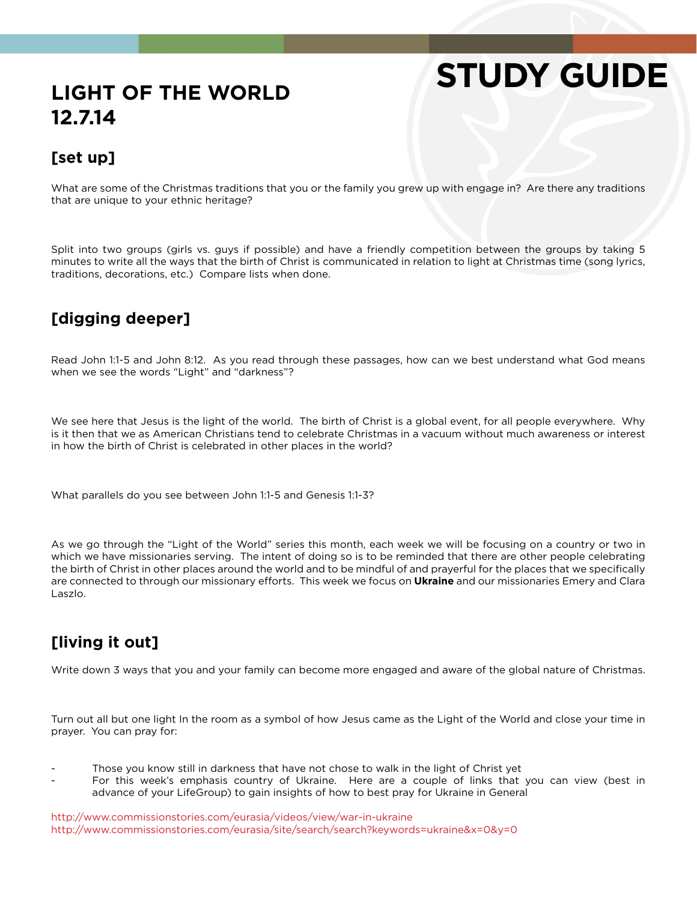# **STUDY GUIDE**

# **LIGHT OF THE WORLD 12.7.14**

#### **[set up]**

What are some of the Christmas traditions that you or the family you grew up with engage in? Are there any traditions that are unique to your ethnic heritage?

Split into two groups (girls vs. guys if possible) and have a friendly competition between the groups by taking 5 minutes to write all the ways that the birth of Christ is communicated in relation to light at Christmas time (song lyrics, traditions, decorations, etc.) Compare lists when done.

## **[digging deeper]**

Read John 1:1-5 and John 8:12. As you read through these passages, how can we best understand what God means when we see the words "Light" and "darkness"?

We see here that Jesus is the light of the world. The birth of Christ is a global event, for all people everywhere. Why is it then that we as American Christians tend to celebrate Christmas in a vacuum without much awareness or interest in how the birth of Christ is celebrated in other places in the world?

What parallels do you see between John 1:1-5 and Genesis 1:1-3?

As we go through the "Light of the World" series this month, each week we will be focusing on a country or two in which we have missionaries serving. The intent of doing so is to be reminded that there are other people celebrating the birth of Christ in other places around the world and to be mindful of and prayerful for the places that we specifically are connected to through our missionary efforts. This week we focus on **Ukraine** and our missionaries Emery and Clara Laszlo.

## **[living it out]**

Write down 3 ways that you and your family can become more engaged and aware of the global nature of Christmas.

Turn out all but one light In the room as a symbol of how Jesus came as the Light of the World and close your time in prayer. You can pray for:

- Those you know still in darkness that have not chose to walk in the light of Christ yet
- For this week's emphasis country of Ukraine. Here are a couple of links that you can view (best in advance of your LifeGroup) to gain insights of how to best pray for Ukraine in General

http://www.commissionstories.com/eurasia/videos/view/war-in-ukraine http://www.commissionstories.com/eurasia/site/search/search?keywords=ukraine&x=0&y=0